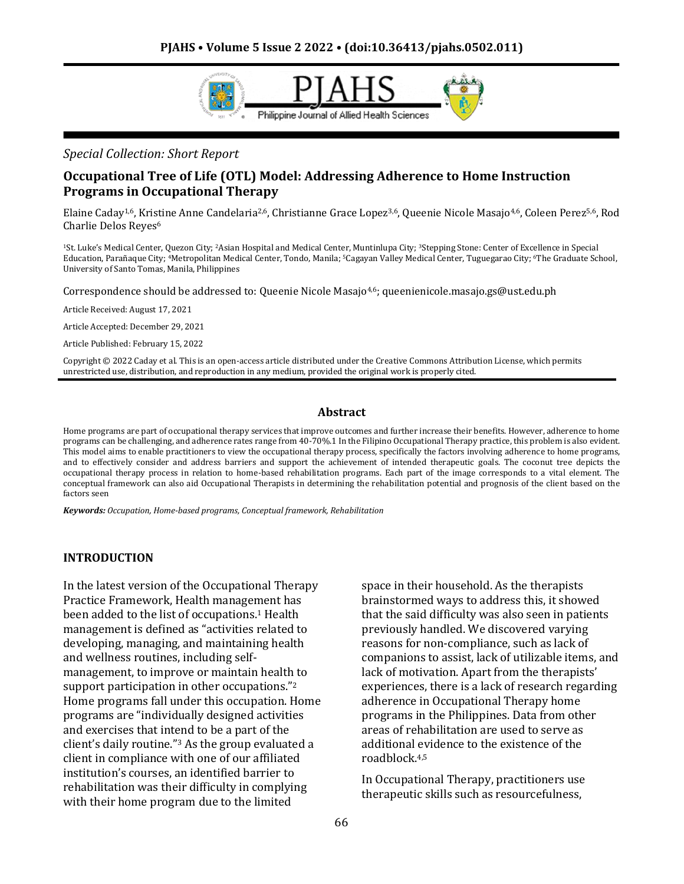

*Special Collection: Short Report*

### **Occupational Tree of Life (OTL) Model: Addressing Adherence to Home Instruction Programs in Occupational Therapy**

Elaine Caday1,6, Kristine Anne Candelaria2,6, Christianne Grace Lopez3,6, Queenie Nicole Masajo4,6, Coleen Perez5,6, Rod Charlie Delos Reyes<sup>6</sup>

<sup>1</sup>St. Luke's Medical Center, Quezon City; <sup>2</sup>Asian Hospital and Medical Center, Muntinlupa City; <sup>3</sup>Stepping Stone: Center of Excellence in Special Education, Parañaque City; <sup>4</sup>Metropolitan Medical Center, Tondo, Manila; <sup>5</sup>Cagayan Valley Medical Center, Tuguegarao City; <sup>6</sup>The Graduate School, University of Santo Tomas, Manila, Philippines

Correspondence should be addressed to: Queenie Nicole Masajo4,6; queenienicole.masajo.gs@ust.edu.ph

Article Received: August 17, 2021

Article Accepted: December 29, 2021

Article Published: February 15, 2022

Copyright © 2022 Caday et al. This is an open-access article distributed under the Creative Commons Attribution License, which permits unrestricted use, distribution, and reproduction in any medium, provided the original work is properly cited.

#### **Abstract**

Home programs are part of occupational therapy services that improve outcomes and further increase their benefits. However, adherence to home programs can be challenging, and adherence rates range from 40-70%.1 In the Filipino Occupational Therapy practice, this problem is also evident. This model aims to enable practitioners to view the occupational therapy process, specifically the factors involving adherence to home programs, and to effectively consider and address barriers and support the achievement of intended therapeutic goals. The coconut tree depicts the occupational therapy process in relation to home-based rehabilitation programs. Each part of the image corresponds to a vital element. The conceptual framework can also aid Occupational Therapists in determining the rehabilitation potential and prognosis of the client based on the factors seen

*Keywords: Occupation, Home-based programs, Conceptual framework, Rehabilitation*

#### **INTRODUCTION**

In the latest version of the Occupational Therapy Practice Framework, Health management has been added to the list of occupations.<sup>1</sup> Health management is defined as "activities related to developing, managing, and maintaining health and wellness routines, including selfmanagement, to improve or maintain health to support participation in other occupations."<sup>2</sup> Home programs fall under this occupation. Home programs are "individually designed activities and exercises that intend to be a part of the client's daily routine."<sup>3</sup> As the group evaluated a client in compliance with one of our affiliated institution's courses, an identified barrier to rehabilitation was their difficulty in complying with their home program due to the limited

space in their household. As the therapists brainstormed ways to address this, it showed that the said difficulty was also seen in patients previously handled. We discovered varying reasons for non-compliance, such as lack of companions to assist, lack of utilizable items, and lack of motivation. Apart from the therapists' experiences, there is a lack of research regarding adherence in Occupational Therapy home programs in the Philippines. Data from other areas of rehabilitation are used to serve as additional evidence to the existence of the roadblock.4,5

In Occupational Therapy, practitioners use therapeutic skills such as resourcefulness,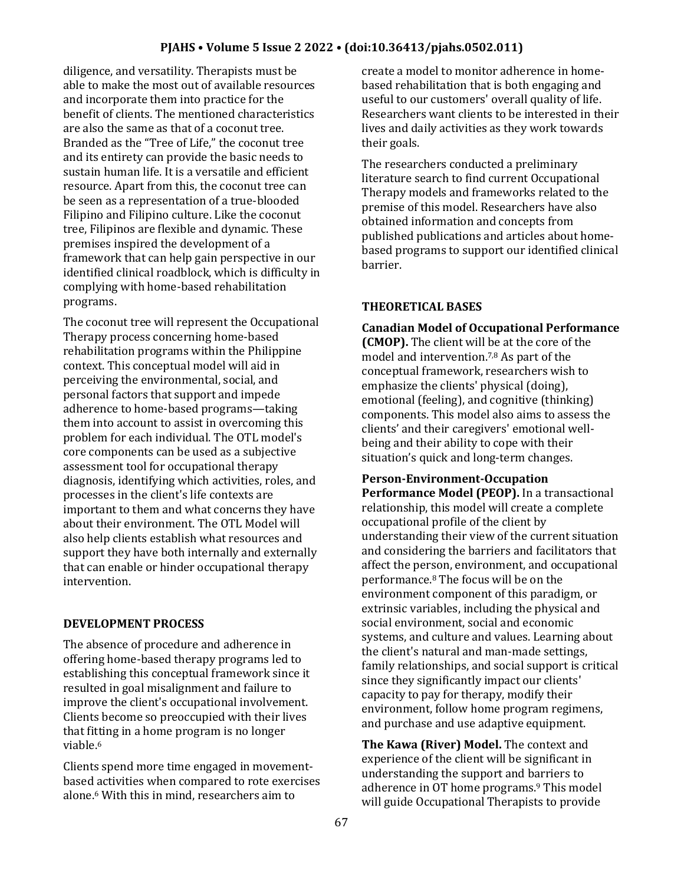diligence, and versatility. Therapists must be able to make the most out of available resources and incorporate them into practice for the benefit of clients. The mentioned characteristics are also the same as that of a coconut tree. Branded as the "Tree of Life," the coconut tree and its entirety can provide the basic needs to sustain human life. It is a versatile and efficient resource. Apart from this, the coconut tree can be seen as a representation of a true-blooded Filipino and Filipino culture. Like the coconut tree, Filipinos are flexible and dynamic. These premises inspired the development of a framework that can help gain perspective in our identified clinical roadblock, which is difficulty in complying with home-based rehabilitation programs.

The coconut tree will represent the Occupational Therapy process concerning home-based rehabilitation programs within the Philippine context. This conceptual model will aid in perceiving the environmental, social, and personal factors that support and impede adherence to home-based programs—taking them into account to assist in overcoming this problem for each individual. The OTL model's core components can be used as a subjective assessment tool for occupational therapy diagnosis, identifying which activities, roles, and processes in the client's life contexts are important to them and what concerns they have about their environment. The OTL Model will also help clients establish what resources and support they have both internally and externally that can enable or hinder occupational therapy intervention.

### **DEVELOPMENT PROCESS**

The absence of procedure and adherence in offering home-based therapy programs led to establishing this conceptual framework since it resulted in goal misalignment and failure to improve the client's occupational involvement. Clients become so preoccupied with their lives that fitting in a home program is no longer viable.<sup>6</sup>

Clients spend more time engaged in movementbased activities when compared to rote exercises alone.<sup>6</sup> With this in mind, researchers aim to

create a model to monitor adherence in homebased rehabilitation that is both engaging and useful to our customers' overall quality of life. Researchers want clients to be interested in their lives and daily activities as they work towards their goals.

The researchers conducted a preliminary literature search to find current Occupational Therapy models and frameworks related to the premise of this model. Researchers have also obtained information and concepts from published publications and articles about homebased programs to support our identified clinical barrier.

# **THEORETICAL BASES**

**Canadian Model of Occupational Performance (CMOP).** The client will be at the core of the model and intervention.7,8 As part of the conceptual framework, researchers wish to emphasize the clients' physical (doing), emotional (feeling), and cognitive (thinking) components. This model also aims to assess the clients' and their caregivers' emotional wellbeing and their ability to cope with their situation's quick and long-term changes.

**Person-Environment-Occupation Performance Model (PEOP).** In a transactional relationship, this model will create a complete occupational profile of the client by understanding their view of the current situation and considering the barriers and facilitators that affect the person, environment, and occupational performance.<sup>8</sup> The focus will be on the environment component of this paradigm, or extrinsic variables, including the physical and social environment, social and economic systems, and culture and values. Learning about the client's natural and man-made settings, family relationships, and social support is critical since they significantly impact our clients' capacity to pay for therapy, modify their environment, follow home program regimens, and purchase and use adaptive equipment.

**The Kawa (River) Model.** The context and experience of the client will be significant in understanding the support and barriers to adherence in OT home programs.<sup>9</sup> This model will guide Occupational Therapists to provide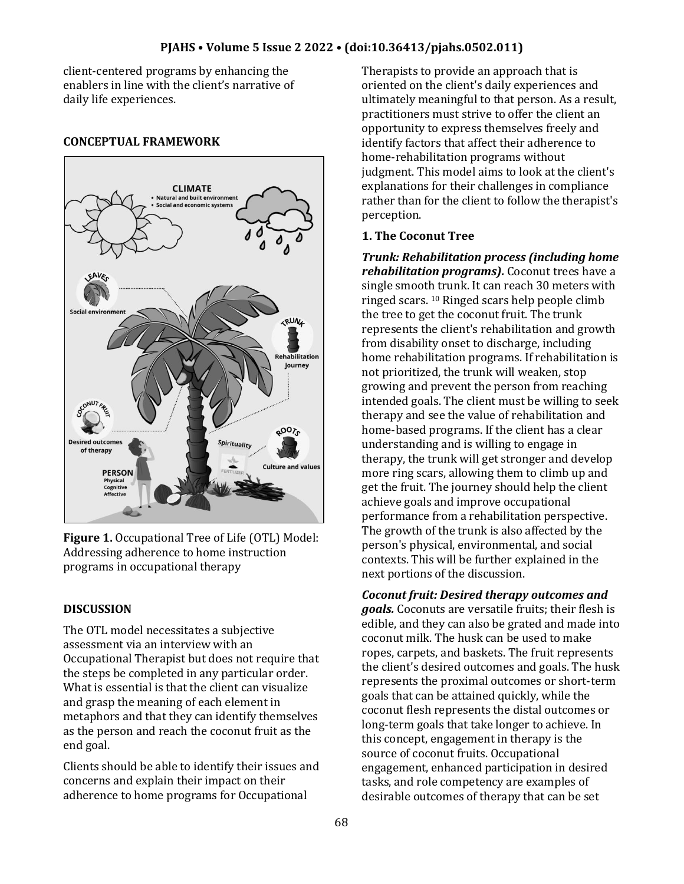client-centered programs by enhancing the enablers in line with the client's narrative of daily life experiences.

#### **CONCEPTUAL FRAMEWORK**



**Figure 1.** Occupational Tree of Life (OTL) Model: Addressing adherence to home instruction programs in occupational therapy

### **DISCUSSION**

The OTL model necessitates a subjective assessment via an interview with an Occupational Therapist but does not require that the steps be completed in any particular order. What is essential is that the client can visualize and grasp the meaning of each element in metaphors and that they can identify themselves as the person and reach the coconut fruit as the end goal.

Clients should be able to identify their issues and concerns and explain their impact on their adherence to home programs for Occupational

Therapists to provide an approach that is oriented on the client's daily experiences and ultimately meaningful to that person. As a result, practitioners must strive to offer the client an opportunity to express themselves freely and identify factors that affect their adherence to home-rehabilitation programs without judgment. This model aims to look at the client's explanations for their challenges in compliance rather than for the client to follow the therapist's perception.

#### **1. The Coconut Tree**

*Trunk: Rehabilitation process (including home rehabilitation programs).* Coconut trees have a single smooth trunk. It can reach 30 meters with ringed scars. <sup>10</sup> Ringed scars help people climb the tree to get the coconut fruit. The trunk represents the client's rehabilitation and growth from disability onset to discharge, including home rehabilitation programs. If rehabilitation is not prioritized, the trunk will weaken, stop growing and prevent the person from reaching intended goals. The client must be willing to seek therapy and see the value of rehabilitation and home-based programs. If the client has a clear understanding and is willing to engage in therapy, the trunk will get stronger and develop more ring scars, allowing them to climb up and get the fruit. The journey should help the client achieve goals and improve occupational performance from a rehabilitation perspective. The growth of the trunk is also affected by the person's physical, environmental, and social contexts. This will be further explained in the next portions of the discussion.

*Coconut fruit: Desired therapy outcomes and goals.* Coconuts are versatile fruits; their flesh is edible, and they can also be grated and made into coconut milk. The husk can be used to make ropes, carpets, and baskets. The fruit represents the client's desired outcomes and goals. The husk represents the proximal outcomes or short-term goals that can be attained quickly, while the coconut flesh represents the distal outcomes or long-term goals that take longer to achieve. In this concept, engagement in therapy is the source of coconut fruits. Occupational engagement, enhanced participation in desired tasks, and role competency are examples of desirable outcomes of therapy that can be set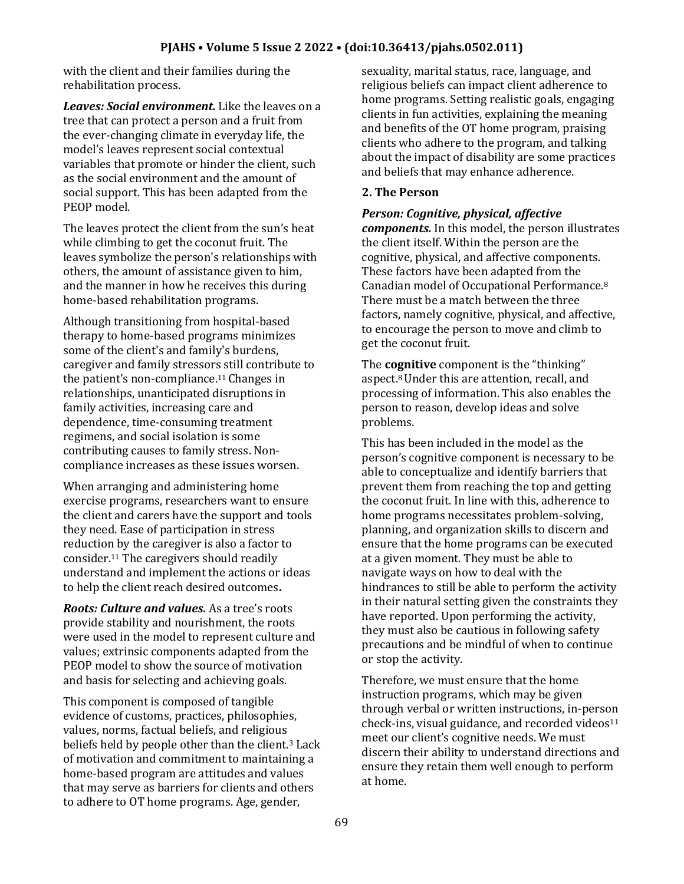with the client and their families during the rehabilitation process.

*Leaves: Social environment.* Like the leaves on a tree that can protect a person and a fruit from the ever-changing climate in everyday life, the model's leaves represent social contextual variables that promote or hinder the client, such as the social environment and the amount of social support. This has been adapted from the PEOP model.

The leaves protect the client from the sun's heat while climbing to get the coconut fruit. The leaves symbolize the person's relationships with others, the amount of assistance given to him, and the manner in how he receives this during home-based rehabilitation programs.

Although transitioning from hospital-based therapy to home-based programs minimizes some of the client's and family's burdens, caregiver and family stressors still contribute to the patient's non-compliance.<sup>11</sup> Changes in relationships, unanticipated disruptions in family activities, increasing care and dependence, time-consuming treatment regimens, and social isolation is some contributing causes to family stress. Noncompliance increases as these issues worsen.

When arranging and administering home exercise programs, researchers want to ensure the client and carers have the support and tools they need. Ease of participation in stress reduction by the caregiver is also a factor to consider.<sup>11</sup> The caregivers should readily understand and implement the actions or ideas to help the client reach desired outcomes**.**

*Roots: Culture and values.* As a tree's roots provide stability and nourishment, the roots were used in the model to represent culture and values; extrinsic components adapted from the PEOP model to show the source of motivation and basis for selecting and achieving goals.

This component is composed of tangible evidence of customs, practices, philosophies, values, norms, factual beliefs, and religious beliefs held by people other than the client.<sup>3</sup> Lack of motivation and commitment to maintaining a home-based program are attitudes and values that may serve as barriers for clients and others to adhere to OT home programs. Age, gender,

sexuality, marital status, race, language, and religious beliefs can impact client adherence to home programs. Setting realistic goals, engaging clients in fun activities, explaining the meaning and benefits of the OT home program, praising clients who adhere to the program, and talking about the impact of disability are some practices and beliefs that may enhance adherence.

#### **2. The Person**

#### *Person: Cognitive, physical, affective*

*components.* In this model, the person illustrates the client itself. Within the person are the cognitive, physical, and affective components. These factors have been adapted from the Canadian model of Occupational Performance.<sup>8</sup> There must be a match between the three factors, namely cognitive, physical, and affective, to encourage the person to move and climb to get the coconut fruit.

The **cognitive** component is the "thinking" aspect.8 Under this are attention, recall, and processing of information. This also enables the person to reason, develop ideas and solve problems.

This has been included in the model as the person's cognitive component is necessary to be able to conceptualize and identify barriers that prevent them from reaching the top and getting the coconut fruit. In line with this, adherence to home programs necessitates problem-solving, planning, and organization skills to discern and ensure that the home programs can be executed at a given moment. They must be able to navigate ways on how to deal with the hindrances to still be able to perform the activity in their natural setting given the constraints they have reported. Upon performing the activity, they must also be cautious in following safety precautions and be mindful of when to continue or stop the activity.

Therefore, we must ensure that the home instruction programs, which may be given through verbal or written instructions, in-person check-ins, visual guidance, and recorded videos<sup>11</sup> meet our client's cognitive needs. We must discern their ability to understand directions and ensure they retain them well enough to perform at home.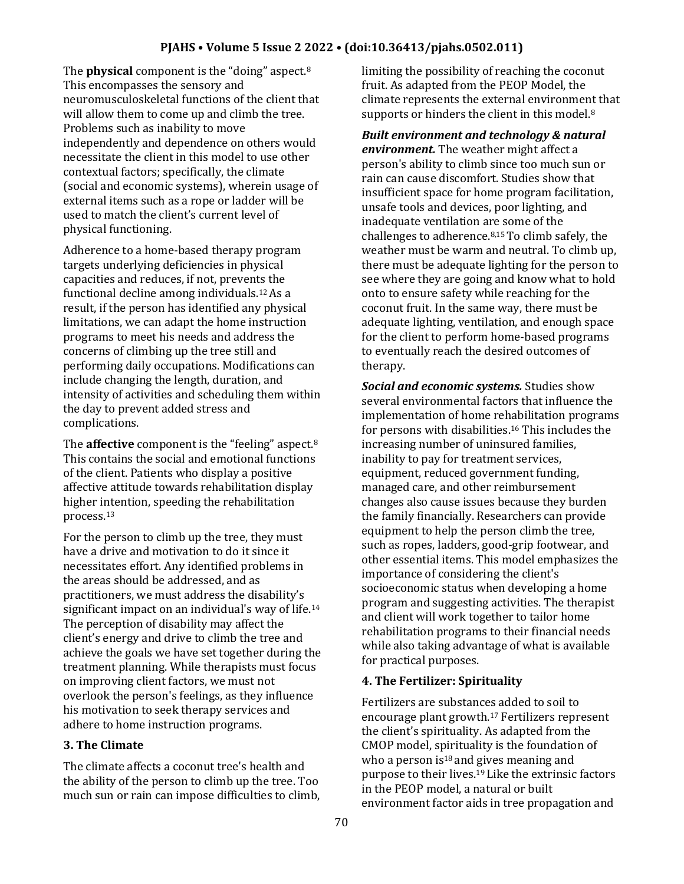The **physical** component is the "doing" aspect.<sup>8</sup> This encompasses the sensory and neuromusculoskeletal functions of the client that will allow them to come up and climb the tree. Problems such as inability to move independently and dependence on others would necessitate the client in this model to use other contextual factors; specifically, the climate (social and economic systems), wherein usage of external items such as a rope or ladder will be used to match the client's current level of physical functioning.

Adherence to a home-based therapy program targets underlying deficiencies in physical capacities and reduces, if not, prevents the functional decline among individuals.12 As a result, if the person has identified any physical limitations, we can adapt the home instruction programs to meet his needs and address the concerns of climbing up the tree still and performing daily occupations. Modifications can include changing the length, duration, and intensity of activities and scheduling them within the day to prevent added stress and complications.

The **affective** component is the "feeling" aspect.<sup>8</sup> This contains the social and emotional functions of the client. Patients who display a positive affective attitude towards rehabilitation display higher intention, speeding the rehabilitation process.<sup>13</sup>

For the person to climb up the tree, they must have a drive and motivation to do it since it necessitates effort. Any identified problems in the areas should be addressed, and as practitioners, we must address the disability's significant impact on an individual's way of life.<sup>14</sup> The perception of disability may affect the client's energy and drive to climb the tree and achieve the goals we have set together during the treatment planning. While therapists must focus on improving client factors, we must not overlook the person's feelings, as they influence his motivation to seek therapy services and adhere to home instruction programs.

# **3. The Climate**

The climate affects a coconut tree's health and the ability of the person to climb up the tree. Too much sun or rain can impose difficulties to climb, limiting the possibility of reaching the coconut fruit. As adapted from the PEOP Model, the climate represents the external environment that supports or hinders the client in this model.<sup>8</sup>

*Built environment and technology & natural environment.* The weather might affect a person's ability to climb since too much sun or rain can cause discomfort. Studies show that insufficient space for home program facilitation, unsafe tools and devices, poor lighting, and inadequate ventilation are some of the challenges to adherence.8,15 To climb safely, the weather must be warm and neutral. To climb up, there must be adequate lighting for the person to see where they are going and know what to hold onto to ensure safety while reaching for the coconut fruit. In the same way, there must be adequate lighting, ventilation, and enough space for the client to perform home-based programs to eventually reach the desired outcomes of therapy.

*Social and economic systems.* Studies show several environmental factors that influence the implementation of home rehabilitation programs for persons with disabilities.<sup>16</sup> This includes the increasing number of uninsured families, inability to pay for treatment services, equipment, reduced government funding, managed care, and other reimbursement changes also cause issues because they burden the family financially. Researchers can provide equipment to help the person climb the tree, such as ropes, ladders, good-grip footwear, and other essential items. This model emphasizes the importance of considering the client's socioeconomic status when developing a home program and suggesting activities. The therapist and client will work together to tailor home rehabilitation programs to their financial needs while also taking advantage of what is available for practical purposes.

# **4. The Fertilizer: Spirituality**

Fertilizers are substances added to soil to encourage plant growth.<sup>17</sup> Fertilizers represent the client's spirituality. As adapted from the CMOP model, spirituality is the foundation of who a person is $18$  and gives meaning and purpose to their lives.19 Like the extrinsic factors in the PEOP model, a natural or built environment factor aids in tree propagation and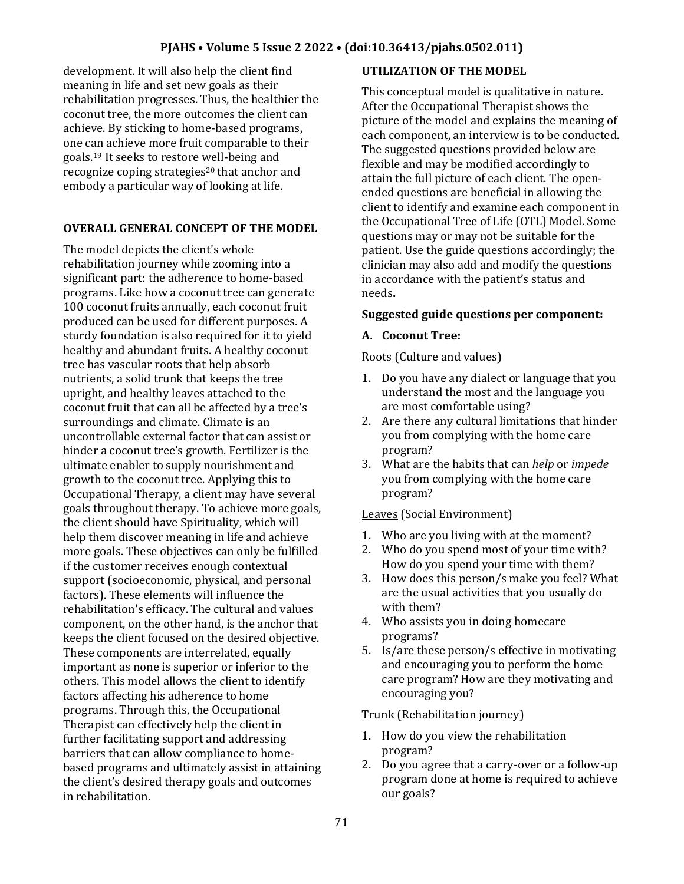development. It will also help the client find meaning in life and set new goals as their rehabilitation progresses. Thus, the healthier the coconut tree, the more outcomes the client can achieve. By sticking to home-based programs, one can achieve more fruit comparable to their goals.19 It seeks to restore well-being and recognize coping strategies<sup>20</sup> that anchor and embody a particular way of looking at life.

# **OVERALL GENERAL CONCEPT OF THE MODEL**

The model depicts the client's whole rehabilitation journey while zooming into a significant part: the adherence to home-based programs. Like how a coconut tree can generate 100 coconut fruits annually, each coconut fruit produced can be used for different purposes. A sturdy foundation is also required for it to yield healthy and abundant fruits. A healthy coconut tree has vascular roots that help absorb nutrients, a solid trunk that keeps the tree upright, and healthy leaves attached to the coconut fruit that can all be affected by a tree's surroundings and climate. Climate is an uncontrollable external factor that can assist or hinder a coconut tree's growth. Fertilizer is the ultimate enabler to supply nourishment and growth to the coconut tree. Applying this to Occupational Therapy, a client may have several goals throughout therapy. To achieve more goals, the client should have Spirituality, which will help them discover meaning in life and achieve more goals. These objectives can only be fulfilled if the customer receives enough contextual support (socioeconomic, physical, and personal factors). These elements will influence the rehabilitation's efficacy. The cultural and values component, on the other hand, is the anchor that keeps the client focused on the desired objective. These components are interrelated, equally important as none is superior or inferior to the others. This model allows the client to identify factors affecting his adherence to home programs. Through this, the Occupational Therapist can effectively help the client in further facilitating support and addressing barriers that can allow compliance to homebased programs and ultimately assist in attaining the client's desired therapy goals and outcomes in rehabilitation.

# **UTILIZATION OF THE MODEL**

This conceptual model is qualitative in nature. After the Occupational Therapist shows the picture of the model and explains the meaning of each component, an interview is to be conducted. The suggested questions provided below are flexible and may be modified accordingly to attain the full picture of each client. The openended questions are beneficial in allowing the client to identify and examine each component in the Occupational Tree of Life (OTL) Model. Some questions may or may not be suitable for the patient. Use the guide questions accordingly; the clinician may also add and modify the questions in accordance with the patient's status and needs**.**

### **Suggested guide questions per component:**

### **A. Coconut Tree:**

Roots (Culture and values)

- 1. Do you have any dialect or language that you understand the most and the language you are most comfortable using?
- 2. Are there any cultural limitations that hinder you from complying with the home care program?
- 3. What are the habits that can *help* or *impede* you from complying with the home care program?

### Leaves (Social Environment)

- 1. Who are you living with at the moment?
- 2. Who do you spend most of your time with? How do you spend your time with them?
- 3. How does this person/s make you feel? What are the usual activities that you usually do with them?
- 4. Who assists you in doing homecare programs?
- 5. Is/are these person/s effective in motivating and encouraging you to perform the home care program? How are they motivating and encouraging you?

### Trunk (Rehabilitation journey)

- 1. How do you view the rehabilitation program?
- 2. Do you agree that a carry-over or a follow-up program done at home is required to achieve our goals?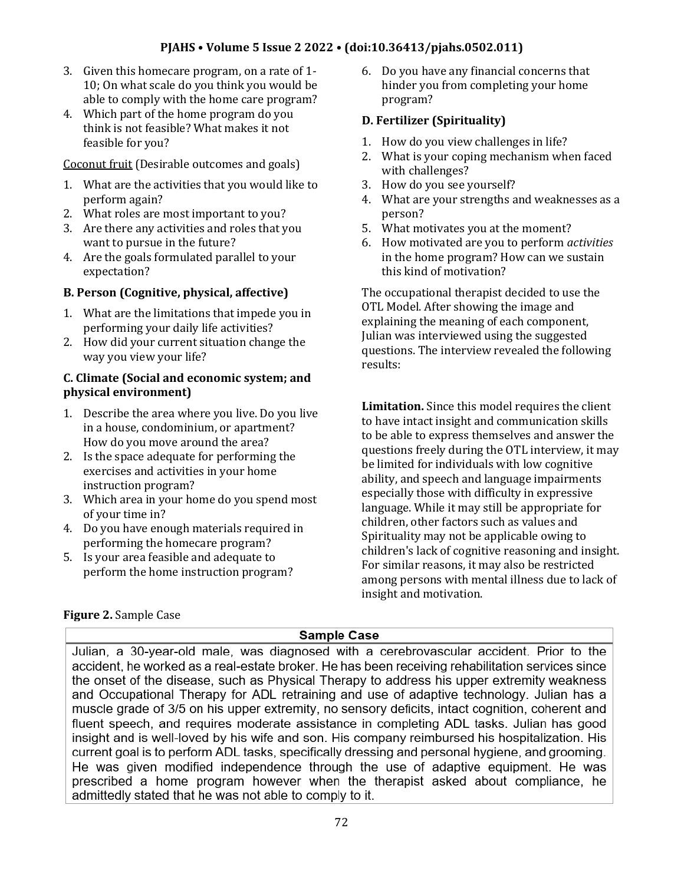### **PJAHS • Volume 5 Issue 2 2022 • (doi:10.36413/pjahs.0502.011)**

- 3. Given this homecare program, on a rate of 1- 10; On what scale do you think you would be able to comply with the home care program?
- 4. Which part of the home program do you think is not feasible? What makes it not feasible for you?

Coconut fruit (Desirable outcomes and goals)

- 1. What are the activities that you would like to perform again?
- 2. What roles are most important to you?
- 3. Are there any activities and roles that you want to pursue in the future?
- 4. Are the goals formulated parallel to your expectation?

### **B. Person (Cognitive, physical, affective)**

- 1. What are the limitations that impede you in performing your daily life activities?
- 2. How did your current situation change the way you view your life?

### **C. Climate (Social and economic system; and physical environment)**

- 1. Describe the area where you live. Do you live in a house, condominium, or apartment? How do you move around the area?
- 2. Is the space adequate for performing the exercises and activities in your home instruction program?
- 3. Which area in your home do you spend most of your time in?
- 4. Do you have enough materials required in performing the homecare program?
- 5. Is your area feasible and adequate to perform the home instruction program?

#### 6. Do you have any financial concerns that hinder you from completing your home program?

### **D. Fertilizer (Spirituality)**

- 1. How do you view challenges in life?
- 2. What is your coping mechanism when faced with challenges?
- 3. How do you see yourself?
- 4. What are your strengths and weaknesses as a person?
- 5. What motivates you at the moment?
- 6. How motivated are you to perform *activities*  in the home program? How can we sustain this kind of motivation?

The occupational therapist decided to use the OTL Model. After showing the image and explaining the meaning of each component, Julian was interviewed using the suggested questions. The interview revealed the following results:

**Limitation.** Since this model requires the client to have intact insight and communication skills to be able to express themselves and answer the questions freely during the OTL interview, it may be limited for individuals with low cognitive ability, and speech and language impairments especially those with difficulty in expressive language. While it may still be appropriate for children, other factors such as values and Spirituality may not be applicable owing to children's lack of cognitive reasoning and insight. For similar reasons, it may also be restricted among persons with mental illness due to lack of insight and motivation.

# **Figure 2.** Sample Case

**Sample Case** 

Julian, a 30-year-old male, was diagnosed with a cerebrovascular accident. Prior to the accident, he worked as a real-estate broker. He has been receiving rehabilitation services since the onset of the disease, such as Physical Therapy to address his upper extremity weakness and Occupational Therapy for ADL retraining and use of adaptive technology. Julian has a muscle grade of 3/5 on his upper extremity, no sensory deficits, intact cognition, coherent and fluent speech, and requires moderate assistance in completing ADL tasks. Julian has good insight and is well-loved by his wife and son. His company reimbursed his hospitalization. His current goal is to perform ADL tasks, specifically dressing and personal hygiene, and grooming. He was given modified independence through the use of adaptive equipment. He was prescribed a home program however when the therapist asked about compliance, he admittedly stated that he was not able to comply to it.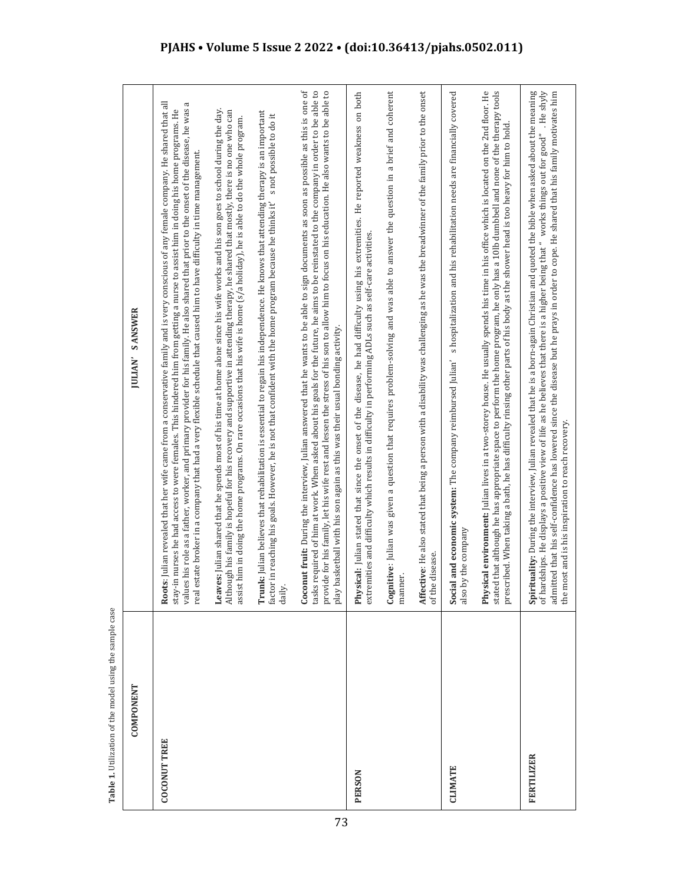| <b>COMPONENT</b>    | <b>SANSWER</b><br><b>JULIAN'</b>                                                                                                                                                                                                                                                                                                                                                                                                                                                                                                                                                 |
|---------------------|----------------------------------------------------------------------------------------------------------------------------------------------------------------------------------------------------------------------------------------------------------------------------------------------------------------------------------------------------------------------------------------------------------------------------------------------------------------------------------------------------------------------------------------------------------------------------------|
| <b>COCONUT TREE</b> | <b>ts</b> : Julian revealed that her wife came from a conservative family and is very conscious of any female company. He shared that all<br>π<br>values his role as a father, worker, and primary provider for his family. He also shared that prior to the onset of the disease, he was<br>stay-in nurses he had access to were females. This hindered him from getting a nurse to assist him in doing his home programs. He<br>estate broker in a company that had a very flexible schedule that caused him to have difficulty in time management.<br>R <sub>00</sub><br>real |
|                     | Leaves: Julian shared that he spends most of his time at home alone since his wife works and his son goes to school during the day.<br>Although his family is hopeful for his recovery and supportive in attending therapy, he shared that mostly, there is no one who can<br>assist him in doing the home programs. On rare occasions that his wife is home (s/a holiday), he is able to do the whole program.                                                                                                                                                                  |
|                     | <b>Trunk:</b> Julian believes that rehabilitation is essential to regain his independence. He knows that attending therapy is an important<br>factor in reaching his goals. However, he is not that confident with the home program because he thinks it's not possible to do it<br>daily.                                                                                                                                                                                                                                                                                       |
|                     | <b>Coconut fruit:</b> During the interview, Julian answered that he wants to be able to sign documents as soon as possible as this is one of<br>tasks required of him at work. When asked about his goals for the future, he aims to be reinstated to the company in order to be able to<br>provide for his family, let his wife rest and lessen the stress of his son to allow him to focus on his education. He also wants to be able to<br>play basketball with his son again as this was their usual bonding activity.                                                       |
| <b>PERSON</b>       | <b>Physical:</b> Julian stated that since the onset of the disease, he had difficulty using his extremities. He reported weakness on both<br>extremities and difficulty which results in difficulty in performing ADLs such as self-care activities.                                                                                                                                                                                                                                                                                                                             |
|                     | Cognitive: Julian was given a question that requires problem-solving and was able to answer the question in a brief and coherent<br>manner.                                                                                                                                                                                                                                                                                                                                                                                                                                      |
|                     | <b>Affective</b> : He also stated that being a person with a disability was challenging as he was the breadwinner of the family prior to the onset<br>of the disease.                                                                                                                                                                                                                                                                                                                                                                                                            |
| <b>CLIMATE</b>      | s hospitalization and his rehabilitation needs are financially covered<br>ial and economic system: The company reimbursed Julian'<br>by the company<br>Soci<br>also                                                                                                                                                                                                                                                                                                                                                                                                              |
|                     | Physical environment: Julian lives in a two-storey house. He usually spends his time in his office which is located on the 2nd floor. He<br>stated that although he has appropriate space to perform the home program, he only has a 10lb dumbbell and none of the therapy tools<br>prescribed. When taking a bath, he has difficulty rinsing other parts of his body as the shower head is too heavy for him to hold                                                                                                                                                            |
| FERTILIZER          | <b>Spirituality:</b> During the interview, Julian revealed that he is a born-again Christian and quoted the bible when asked about the meaning<br>of hardships. He displays a positive view of life as he believes that there is a higher being that " works things out for good". He shyly<br>admitted that his self-confidence has lowered since the disease but he prays in order to cope. He shared that his family motivates him<br>the most and is his inspiration to reach recovery.                                                                                      |

Table 1. Utilization of the model using the sample case **Table 1.** Utilization of the model using the sample case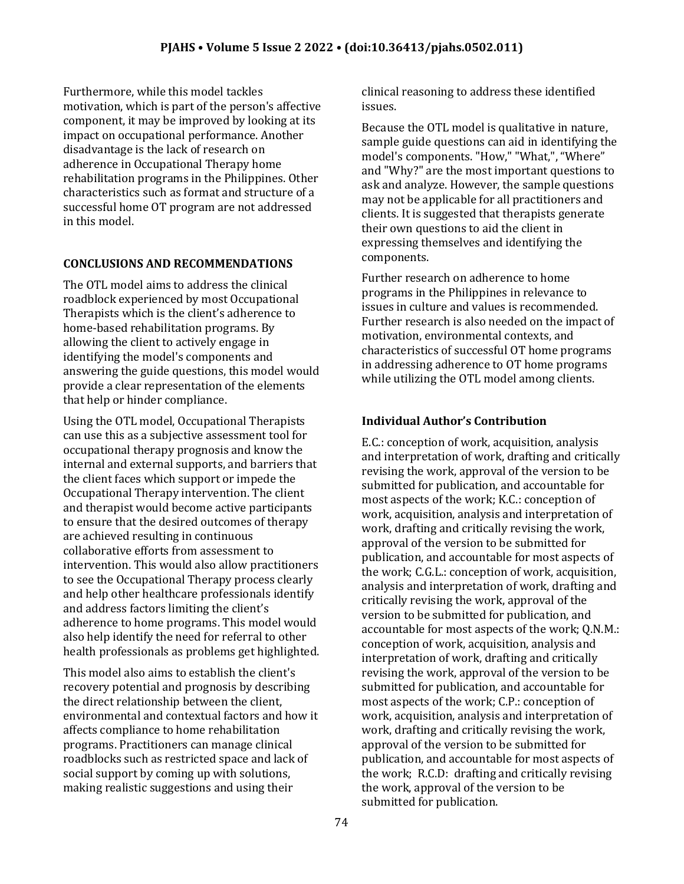Furthermore, while this model tackles motivation, which is part of the person's affective component, it may be improved by looking at its impact on occupational performance. Another disadvantage is the lack of research on adherence in Occupational Therapy home rehabilitation programs in the Philippines. Other characteristics such as format and structure of a successful home OT program are not addressed in this model.

# **CONCLUSIONS AND RECOMMENDATIONS**

The OTL model aims to address the clinical roadblock experienced by most Occupational Therapists which is the client's adherence to home-based rehabilitation programs. By allowing the client to actively engage in identifying the model's components and answering the guide questions, this model would provide a clear representation of the elements that help or hinder compliance.

Using the OTL model, Occupational Therapists can use this as a subjective assessment tool for occupational therapy prognosis and know the internal and external supports, and barriers that the client faces which support or impede the Occupational Therapy intervention. The client and therapist would become active participants to ensure that the desired outcomes of therapy are achieved resulting in continuous collaborative efforts from assessment to intervention. This would also allow practitioners to see the Occupational Therapy process clearly and help other healthcare professionals identify and address factors limiting the client's adherence to home programs. This model would also help identify the need for referral to other health professionals as problems get highlighted.

This model also aims to establish the client's recovery potential and prognosis by describing the direct relationship between the client, environmental and contextual factors and how it affects compliance to home rehabilitation programs. Practitioners can manage clinical roadblocks such as restricted space and lack of social support by coming up with solutions, making realistic suggestions and using their

clinical reasoning to address these identified issues.

Because the OTL model is qualitative in nature, sample guide questions can aid in identifying the model's components. "How," "What,", "Where" and "Why?" are the most important questions to ask and analyze. However, the sample questions may not be applicable for all practitioners and clients. It is suggested that therapists generate their own questions to aid the client in expressing themselves and identifying the components.

Further research on adherence to home programs in the Philippines in relevance to issues in culture and values is recommended. Further research is also needed on the impact of motivation, environmental contexts, and characteristics of successful OT home programs in addressing adherence to OT home programs while utilizing the OTL model among clients.

# **Individual Author's Contribution**

E.C.: conception of work, acquisition, analysis and interpretation of work, drafting and critically revising the work, approval of the version to be submitted for publication, and accountable for most aspects of the work; K.C.: conception of work, acquisition, analysis and interpretation of work, drafting and critically revising the work, approval of the version to be submitted for publication, and accountable for most aspects of the work; C.G.L.: conception of work, acquisition, analysis and interpretation of work, drafting and critically revising the work, approval of the version to be submitted for publication, and accountable for most aspects of the work; Q.N.M.: conception of work, acquisition, analysis and interpretation of work, drafting and critically revising the work, approval of the version to be submitted for publication, and accountable for most aspects of the work; C.P.: conception of work, acquisition, analysis and interpretation of work, drafting and critically revising the work, approval of the version to be submitted for publication, and accountable for most aspects of the work; R.C.D: drafting and critically revising the work, approval of the version to be submitted for publication.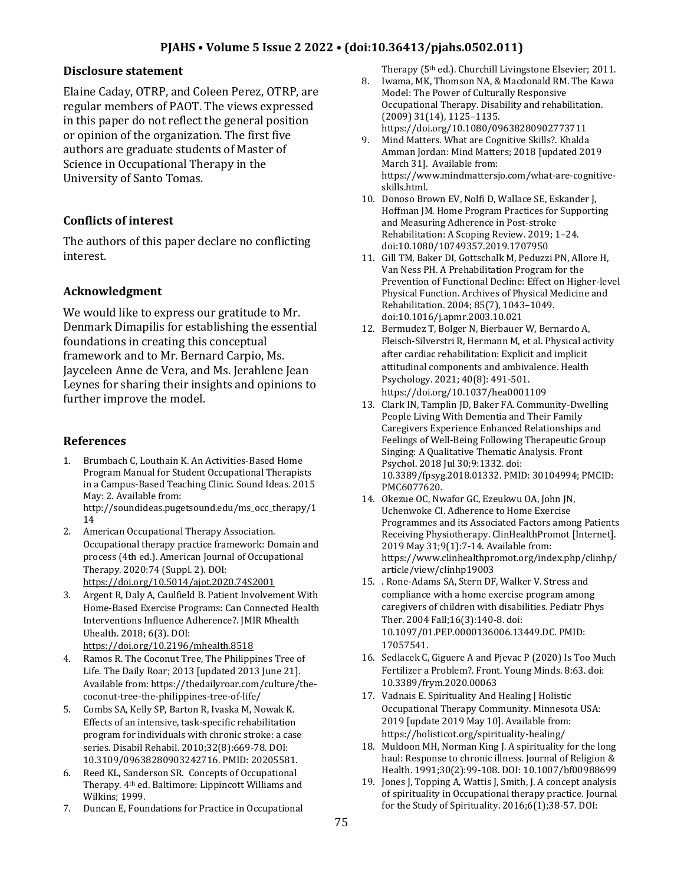#### **Disclosure statement**

Elaine Caday, OTRP, and Coleen Perez, OTRP, are regular members of PAOT. The views expressed in this paper do not reflect the general position or opinion of the organization. The first five authors are graduate students of Master of Science in Occupational Therapy in the University of Santo Tomas.

### **Conflicts of interest**

The authors of this paper declare no conflicting interest.

### **Acknowledgment**

We would like to express our gratitude to Mr. Denmark Dimapilis for establishing the essential foundations in creating this conceptual framework and to Mr. Bernard Carpio, Ms. Jayceleen Anne de Vera, and Ms. Jerahlene Jean Leynes for sharing their insights and opinions to further improve the model.

#### **References**

1. Brumbach C, Louthain K. An Activities-Based Home Program Manual for Student Occupational Therapists in a Campus-Based Teaching Clinic. Sound Ideas. 2015 May: 2. Available from:

http://soundideas.pugetsound.edu/ms\_occ\_therapy/1 14

- 2. American Occupational Therapy Association. Occupational therapy practice framework: Domain and process (4th ed.). American Journal of Occupational Therapy. 2020:74 (Suppl. 2). DOI: <https://doi.org/10.5014/ajot.2020.74S2001>
- 3. Argent R, Daly A, Caulfield B. Patient Involvement With Home-Based Exercise Programs: Can Connected Health Interventions Influence Adherence?. JMIR Mhealth Uhealth. 2018; 6(3). DOI: <https://doi.org/10.2196/mhealth.8518>
- 4. Ramos R. The Coconut Tree, The Philippines Tree of Life. The Daily Roar; 2013 [updated 2013 June 21]. Available from: https://thedailyroar.com/culture/thecoconut-tree-the-philippines-tree-of-life/
- 5. Combs SA, Kelly SP, Barton R, Ivaska M, Nowak K. Effects of an intensive, task-specific rehabilitation program for individuals with chronic stroke: a case series. Disabil Rehabil. 2010;32(8):669-78. DOI: 10.3109/09638280903242716. PMID: 20205581.
- 6. Reed KL, Sanderson SR. Concepts of Occupational Therapy. 4th ed. Baltimore: Lippincott Williams and Wilkins; 1999.
- 7. Duncan E, Foundations for Practice in Occupational

Therapy (5<sup>th</sup> ed.). Churchill Livingstone Elsevier; 2011.

- 8. Iwama, MK, Thomson NA, & Macdonald RM. The Kawa Model: The Power of Culturally Responsive Occupational Therapy. Disability and rehabilitation. (2009) 31(14), 1125–1135. https://doi.org/10.1080/09638280902773711
- 9. Mind Matters. What are Cognitive Skills?. Khalda Amman Jordan: Mind Matters; 2018 [updated 2019 March 31]. Available from: https://www.mindmattersjo.com/what-are-cognitiveskills.html.
- 10. Donoso Brown EV, Nolfi D, Wallace SE, Eskander J, Hoffman JM. Home Program Practices for Supporting and Measuring Adherence in Post-stroke Rehabilitation: A Scoping Review. 2019; 1–24. doi:10.1080/10749357.2019.1707950
- 11. Gill TM, Baker DI, Gottschalk M, Peduzzi PN, Allore H, Van Ness PH. A Prehabilitation Program for the Prevention of Functional Decline: Effect on Higher-level Physical Function. Archives of Physical Medicine and Rehabilitation. 2004; 85(7), 1043–1049. doi:10.1016/j.apmr.2003.10.021
- 12. Bermudez T, Bolger N, Bierbauer W, Bernardo A, Fleisch-Silverstri R, Hermann M, et al. Physical activity after cardiac rehabilitation: Explicit and implicit attitudinal components and ambivalence. Health Psychology. 2021; 40(8): 491-501. https://doi.org/10.1037/hea0001109
- 13. Clark IN, Tamplin JD, Baker FA. Community-Dwelling People Living With Dementia and Their Family Caregivers Experience Enhanced Relationships and Feelings of Well-Being Following Therapeutic Group Singing: A Qualitative Thematic Analysis. Front Psychol. 2018 Jul 30;9:1332. doi: 10.3389/fpsyg.2018.01332. PMID: 30104994; PMCID: PMC6077620.
- 14. Okezue OC, Nwafor GC, Ezeukwu OA, John JN, Uchenwoke CI. Adherence to Home Exercise Programmes and its Associated Factors among Patients Receiving Physiotherapy. ClinHealthPromot [Internet]. 2019 May 31;9(1):7-14. Available from: https://www.clinhealthpromot.org/index.php/clinhp/ article/view/clinhp19003
- 15. . Rone-Adams SA, Stern DF, Walker V. Stress and compliance with a home exercise program among caregivers of children with disabilities. Pediatr Phys Ther. 2004 Fall;16(3):140-8. doi: 10.1097/01.PEP.0000136006.13449.DC. PMID: 17057541.
- 16. Sedlacek C, Giguere A and Pjevac P (2020) Is Too Much Fertilizer a Problem?. Front. Young Minds. 8:63. doi: 10.3389/frym.2020.00063
- 17. Vadnais E. Spirituality And Healing | Holistic Occupational Therapy Community. Minnesota USA: 2019 [update 2019 May 10]. Available from: https://holisticot.org/spirituality-healing/
- 18. Muldoon MH, Norman King J. A spirituality for the long haul: Response to chronic illness. Journal of Religion & Health. 1991;30(2):99-108. DOI: 10.1007/bf00988699
- 19. Jones J, Topping A, Wattis J, Smith, J. A concept analysis of spirituality in Occupational therapy practice. Journal for the Study of Spirituality. 2016;6(1);38-57. DOI: